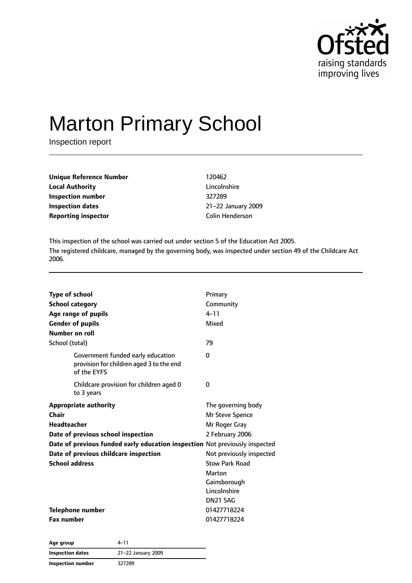

# Marton Primary School

Inspection report

| Unique Reference Number    | 120462                 |
|----------------------------|------------------------|
| Local Authority            | Lincolnshire           |
| Inspection number          | 327289                 |
| <b>Inspection dates</b>    | 21-22 January 2009     |
| <b>Reporting inspector</b> | <b>Colin Henderson</b> |
|                            |                        |

This inspection of the school was carried out under section 5 of the Education Act 2005. The registered childcare, managed by the governing body, was inspected under section 49 of the Childcare Act 2006.

| <b>Type of school</b>                                                                        | Primary                  |
|----------------------------------------------------------------------------------------------|--------------------------|
| <b>School category</b>                                                                       | Community                |
| Age range of pupils                                                                          | $4 - 11$                 |
| <b>Gender of pupils</b>                                                                      | Mixed                    |
| Number on roll                                                                               |                          |
| School (total)                                                                               | 79                       |
| Government funded early education<br>provision for children aged 3 to the end<br>of the EYFS | $\Omega$                 |
| Childcare provision for children aged 0<br>to 3 years                                        | 0                        |
| <b>Appropriate authority</b>                                                                 | The governing body       |
| Chair                                                                                        | Mr Steve Spence          |
| <b>Headteacher</b>                                                                           | Mr Roger Gray            |
| Date of previous school inspection                                                           | 2 February 2006          |
| Date of previous funded early education inspection Not previously inspected                  |                          |
| Date of previous childcare inspection                                                        | Not previously inspected |
| <b>School address</b>                                                                        | <b>Stow Park Road</b>    |
|                                                                                              | Marton                   |
|                                                                                              | Gainsborough             |
|                                                                                              | Lincolnshire             |
|                                                                                              | <b>DN21 5AG</b>          |
| Telephone number                                                                             | 01427718224              |
| <b>Fax number</b>                                                                            | 01427718224              |

| Age group                | 4–11               |
|--------------------------|--------------------|
| <b>Inspection dates</b>  | 21-22 January 2009 |
| <b>Inspection number</b> | 327289             |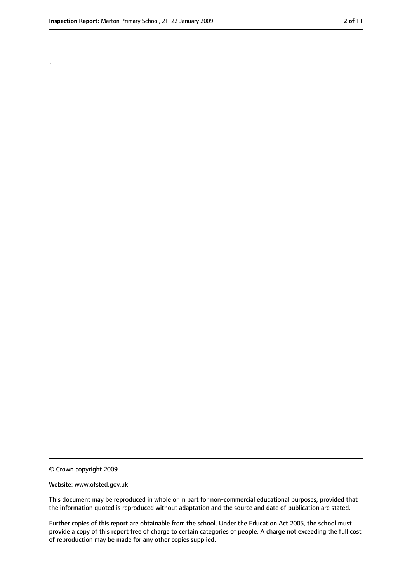.

<sup>©</sup> Crown copyright 2009

Website: www.ofsted.gov.uk

This document may be reproduced in whole or in part for non-commercial educational purposes, provided that the information quoted is reproduced without adaptation and the source and date of publication are stated.

Further copies of this report are obtainable from the school. Under the Education Act 2005, the school must provide a copy of this report free of charge to certain categories of people. A charge not exceeding the full cost of reproduction may be made for any other copies supplied.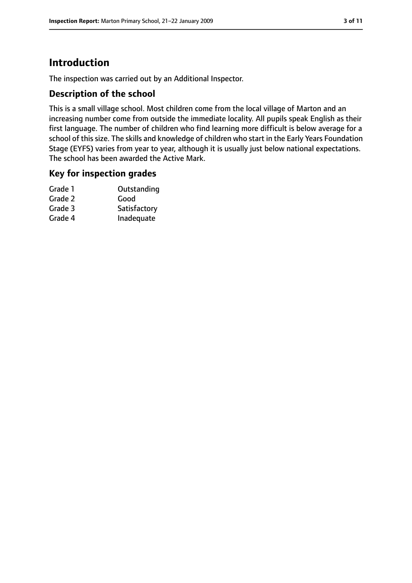# **Introduction**

The inspection was carried out by an Additional Inspector.

#### **Description of the school**

This is a small village school. Most children come from the local village of Marton and an increasing number come from outside the immediate locality. All pupils speak English as their first language. The number of children who find learning more difficult is below average for a school of this size. The skills and knowledge of children who start in the Early Years Foundation Stage (EYFS) varies from year to year, although it is usually just below national expectations. The school has been awarded the Active Mark.

#### **Key for inspection grades**

| Grade 1 | Outstanding  |
|---------|--------------|
| Grade 2 | Good         |
| Grade 3 | Satisfactory |
| Grade 4 | Inadequate   |
|         |              |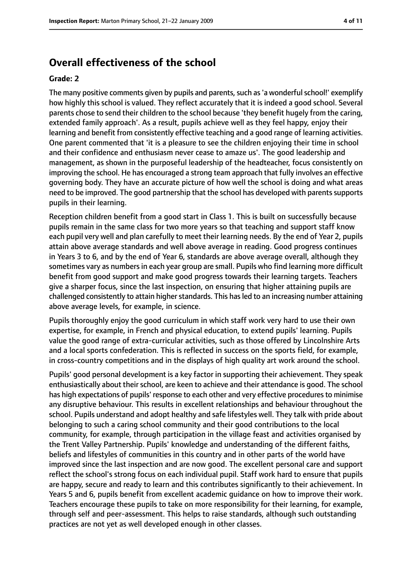# **Overall effectiveness of the school**

#### **Grade: 2**

The many positive comments given by pupils and parents, such as 'a wonderful school!' exemplify how highly this school is valued. They reflect accurately that it is indeed a good school. Several parents chose to send their children to the school because 'they benefit hugely from the caring, extended family approach'. As a result, pupils achieve well as they feel happy, enjoy their learning and benefit from consistently effective teaching and a good range of learning activities. One parent commented that 'it is a pleasure to see the children enjoying their time in school and their confidence and enthusiasm never cease to amaze us'. The good leadership and management, as shown in the purposeful leadership of the headteacher, focus consistently on improving the school. He has encouraged a strong team approach that fully involves an effective governing body. They have an accurate picture of how well the school is doing and what areas need to be improved. The good partnership that the school has developed with parents supports pupils in their learning.

Reception children benefit from a good start in Class 1. This is built on successfully because pupils remain in the same class for two more years so that teaching and support staff know each pupil very well and plan carefully to meet their learning needs. By the end of Year 2, pupils attain above average standards and well above average in reading. Good progress continues in Years 3 to 6, and by the end of Year 6, standards are above average overall, although they sometimes vary as numbers in each year group are small. Pupils who find learning more difficult benefit from good support and make good progress towards their learning targets. Teachers give a sharper focus, since the last inspection, on ensuring that higher attaining pupils are challenged consistently to attain higher standards. This has led to an increasing number attaining above average levels, for example, in science.

Pupils thoroughly enjoy the good curriculum in which staff work very hard to use their own expertise, for example, in French and physical education, to extend pupils' learning. Pupils value the good range of extra-curricular activities, such as those offered by Lincolnshire Arts and a local sports confederation. This is reflected in success on the sports field, for example, in cross-country competitions and in the displays of high quality art work around the school.

Pupils' good personal development is a key factor in supporting their achievement. They speak enthusiastically about their school, are keen to achieve and their attendance is good. The school has high expectations of pupils' response to each other and very effective procedures to minimise any disruptive behaviour. This results in excellent relationships and behaviour throughout the school. Pupils understand and adopt healthy and safe lifestyles well. They talk with pride about belonging to such a caring school community and their good contributions to the local community, for example, through participation in the village feast and activities organised by the Trent Valley Partnership. Pupils' knowledge and understanding of the different faiths, beliefs and lifestyles of communities in this country and in other parts of the world have improved since the last inspection and are now good. The excellent personal care and support reflect the school's strong focus on each individual pupil. Staff work hard to ensure that pupils are happy, secure and ready to learn and this contributes significantly to their achievement. In Years 5 and 6, pupils benefit from excellent academic guidance on how to improve their work. Teachers encourage these pupils to take on more responsibility for their learning, for example, through self and peer-assessment. This helps to raise standards, although such outstanding practices are not yet as well developed enough in other classes.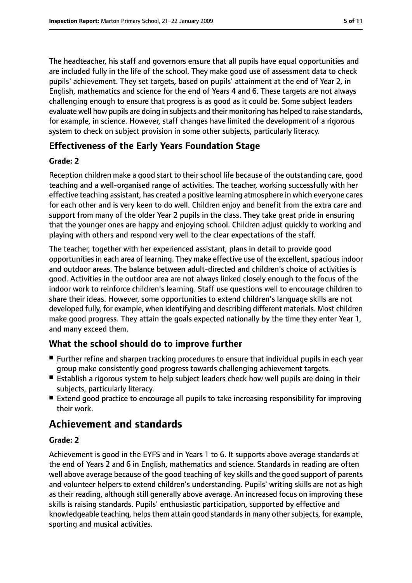The headteacher, his staff and governors ensure that all pupils have equal opportunities and are included fully in the life of the school. They make good use of assessment data to check pupils' achievement. They set targets, based on pupils' attainment at the end of Year 2, in English, mathematics and science for the end of Years 4 and 6. These targets are not always challenging enough to ensure that progress is as good as it could be. Some subject leaders evaluate well how pupils are doing in subjects and their monitoring has helped to raise standards, for example, in science. However, staff changes have limited the development of a rigorous system to check on subject provision in some other subjects, particularly literacy.

## **Effectiveness of the Early Years Foundation Stage**

#### **Grade: 2**

Reception children make a good start to their school life because of the outstanding care, good teaching and a well-organised range of activities. The teacher, working successfully with her effective teaching assistant, has created a positive learning atmosphere in which everyone cares for each other and is very keen to do well. Children enjoy and benefit from the extra care and support from many of the older Year 2 pupils in the class. They take great pride in ensuring that the younger ones are happy and enjoying school. Children adjust quickly to working and playing with others and respond very well to the clear expectations of the staff.

The teacher, together with her experienced assistant, plans in detail to provide good opportunities in each area of learning. They make effective use of the excellent, spacious indoor and outdoor areas. The balance between adult-directed and children's choice of activities is good. Activities in the outdoor area are not always linked closely enough to the focus of the indoor work to reinforce children's learning. Staff use questions well to encourage children to share their ideas. However, some opportunities to extend children's language skills are not developed fully, for example, when identifying and describing different materials. Most children make good progress. They attain the goals expected nationally by the time they enter Year 1, and many exceed them.

# **What the school should do to improve further**

- Further refine and sharpen tracking procedures to ensure that individual pupils in each year group make consistently good progress towards challenging achievement targets.
- Establish a rigorous system to help subject leaders check how well pupils are doing in their subjects, particularly literacy.
- Extend good practice to encourage all pupils to take increasing responsibility for improving their work.

# **Achievement and standards**

#### **Grade: 2**

Achievement is good in the EYFS and in Years 1 to 6. It supports above average standards at the end of Years 2 and 6 in English, mathematics and science. Standards in reading are often well above average because of the good teaching of key skills and the good support of parents and volunteer helpers to extend children's understanding. Pupils' writing skills are not as high as their reading, although still generally above average. An increased focus on improving these skills is raising standards. Pupils' enthusiastic participation, supported by effective and knowledgeable teaching, helps them attain good standards in many other subjects, for example, sporting and musical activities.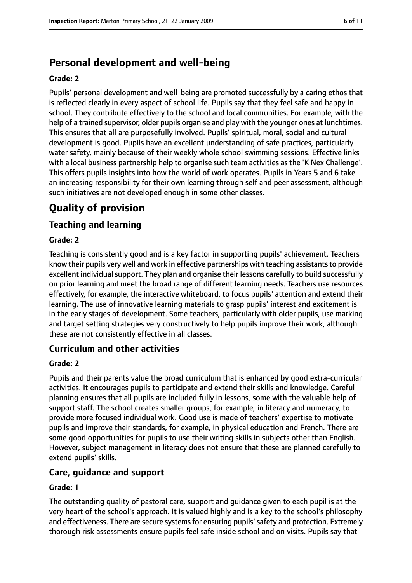# **Personal development and well-being**

#### **Grade: 2**

Pupils' personal development and well-being are promoted successfully by a caring ethos that is reflected clearly in every aspect of school life. Pupils say that they feel safe and happy in school. They contribute effectively to the school and local communities. For example, with the help of a trained supervisor, older pupils organise and play with the younger ones at lunchtimes. This ensures that all are purposefully involved. Pupils' spiritual, moral, social and cultural development is good. Pupils have an excellent understanding of safe practices, particularly water safety, mainly because of their weekly whole school swimming sessions. Effective links with a local business partnership help to organise such team activities as the 'K Nex Challenge'. This offers pupils insights into how the world of work operates. Pupils in Years 5 and 6 take an increasing responsibility for their own learning through self and peer assessment, although such initiatives are not developed enough in some other classes.

# **Quality of provision**

## **Teaching and learning**

#### **Grade: 2**

Teaching is consistently good and is a key factor in supporting pupils' achievement. Teachers know their pupils very well and work in effective partnerships with teaching assistants to provide excellent individual support. They plan and organise their lessons carefully to build successfully on prior learning and meet the broad range of different learning needs. Teachers use resources effectively, for example, the interactive whiteboard, to focus pupils' attention and extend their learning. The use of innovative learning materials to grasp pupils' interest and excitement is in the early stages of development. Some teachers, particularly with older pupils, use marking and target setting strategies very constructively to help pupils improve their work, although these are not consistently effective in all classes.

#### **Curriculum and other activities**

#### **Grade: 2**

Pupils and their parents value the broad curriculum that is enhanced by good extra-curricular activities. It encourages pupils to participate and extend their skills and knowledge. Careful planning ensures that all pupils are included fully in lessons, some with the valuable help of support staff. The school creates smaller groups, for example, in literacy and numeracy, to provide more focused individual work. Good use is made of teachers' expertise to motivate pupils and improve their standards, for example, in physical education and French. There are some good opportunities for pupils to use their writing skills in subjects other than English. However, subject management in literacy does not ensure that these are planned carefully to extend pupils' skills.

## **Care, guidance and support**

#### **Grade: 1**

The outstanding quality of pastoral care, support and guidance given to each pupil is at the very heart of the school's approach. It is valued highly and is a key to the school's philosophy and effectiveness. There are secure systems for ensuring pupils' safety and protection. Extremely thorough risk assessments ensure pupils feel safe inside school and on visits. Pupils say that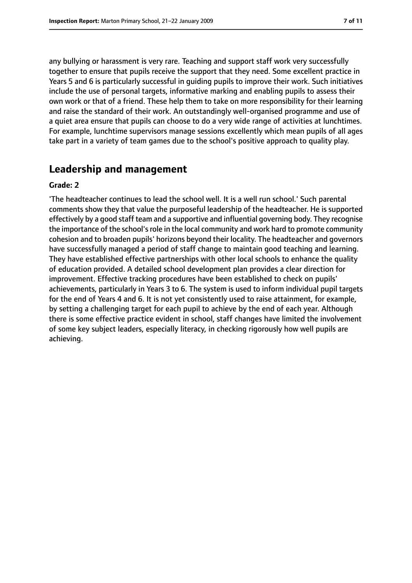any bullying or harassment is very rare. Teaching and support staff work very successfully together to ensure that pupils receive the support that they need. Some excellent practice in Years 5 and 6 is particularly successful in guiding pupils to improve their work. Such initiatives include the use of personal targets, informative marking and enabling pupils to assess their own work or that of a friend. These help them to take on more responsibility for their learning and raise the standard of their work. An outstandingly well-organised programme and use of a quiet area ensure that pupils can choose to do a very wide range of activities at lunchtimes. For example, lunchtime supervisors manage sessions excellently which mean pupils of all ages take part in a variety of team games due to the school's positive approach to quality play.

# **Leadership and management**

#### **Grade: 2**

'The headteacher continues to lead the school well. It is a well run school.' Such parental comments show they that value the purposeful leadership of the headteacher. He is supported effectively by a good staff team and a supportive and influential governing body. They recognise the importance of the school's role in the local community and work hard to promote community cohesion and to broaden pupils' horizons beyond their locality. The headteacher and governors have successfully managed a period of staff change to maintain good teaching and learning. They have established effective partnerships with other local schools to enhance the quality of education provided. A detailed school development plan provides a clear direction for improvement. Effective tracking procedures have been established to check on pupils' achievements, particularly in Years 3 to 6. The system is used to inform individual pupil targets for the end of Years 4 and 6. It is not yet consistently used to raise attainment, for example, by setting a challenging target for each pupil to achieve by the end of each year. Although there is some effective practice evident in school, staff changes have limited the involvement of some key subject leaders, especially literacy, in checking rigorously how well pupils are achieving.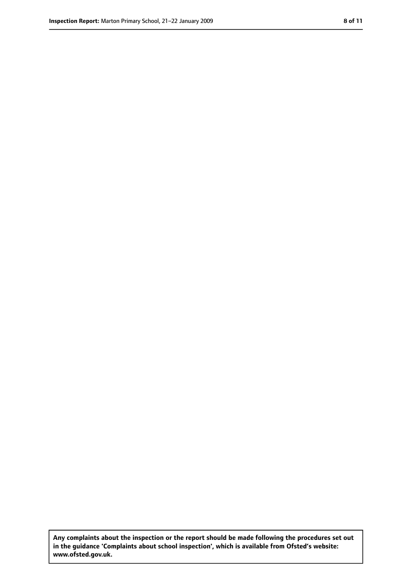**Any complaints about the inspection or the report should be made following the procedures set out in the guidance 'Complaints about school inspection', which is available from Ofsted's website: www.ofsted.gov.uk.**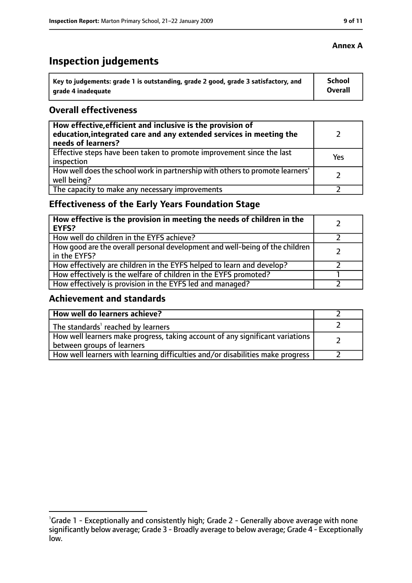# **Inspection judgements**

| key to judgements: grade 1 is outstanding, grade 2 good, grade 3 satisfactory, and ا | School         |
|--------------------------------------------------------------------------------------|----------------|
| arade 4 inadequate                                                                   | <b>Overall</b> |

#### **Overall effectiveness**

| How effective, efficient and inclusive is the provision of<br>education, integrated care and any extended services in meeting the<br>needs of learners? |     |
|---------------------------------------------------------------------------------------------------------------------------------------------------------|-----|
| Effective steps have been taken to promote improvement since the last<br>inspection                                                                     | Yes |
| How well does the school work in partnership with others to promote learners'<br>well being?                                                            |     |
| The capacity to make any necessary improvements                                                                                                         |     |

# **Effectiveness of the Early Years Foundation Stage**

| How effective is the provision in meeting the needs of children in the<br><b>EYFS?</b>       |  |
|----------------------------------------------------------------------------------------------|--|
| How well do children in the EYFS achieve?                                                    |  |
| How good are the overall personal development and well-being of the children<br>in the EYFS? |  |
| How effectively are children in the EYFS helped to learn and develop?                        |  |
| How effectively is the welfare of children in the EYFS promoted?                             |  |
| How effectively is provision in the EYFS led and managed?                                    |  |

#### **Achievement and standards**

| How well do learners achieve?                                                  |  |
|--------------------------------------------------------------------------------|--|
| $\vert$ The standards <sup>1</sup> reached by learners                         |  |
| How well learners make progress, taking account of any significant variations  |  |
| between groups of learners                                                     |  |
| How well learners with learning difficulties and/or disabilities make progress |  |

#### **Annex A**

<sup>&</sup>lt;sup>1</sup>Grade 1 - Exceptionally and consistently high; Grade 2 - Generally above average with none significantly below average; Grade 3 - Broadly average to below average; Grade 4 - Exceptionally low.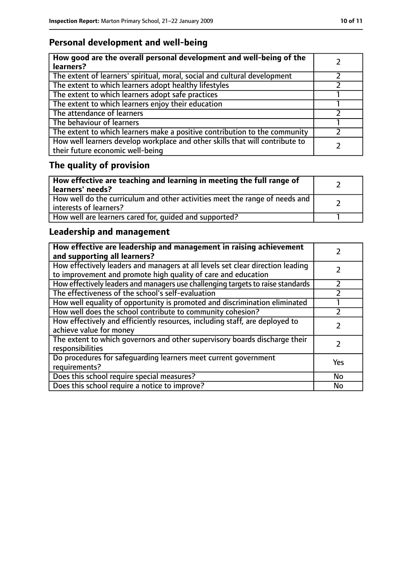# **Personal development and well-being**

| How good are the overall personal development and well-being of the<br>learners?                                 |  |
|------------------------------------------------------------------------------------------------------------------|--|
| The extent of learners' spiritual, moral, social and cultural development                                        |  |
| The extent to which learners adopt healthy lifestyles                                                            |  |
| The extent to which learners adopt safe practices                                                                |  |
| The extent to which learners enjoy their education                                                               |  |
| The attendance of learners                                                                                       |  |
| The behaviour of learners                                                                                        |  |
| The extent to which learners make a positive contribution to the community                                       |  |
| How well learners develop workplace and other skills that will contribute to<br>their future economic well-being |  |

# **The quality of provision**

| $\mid$ How effective are teaching and learning in meeting the full range of<br>  learners' needs?       |  |
|---------------------------------------------------------------------------------------------------------|--|
| How well do the curriculum and other activities meet the range of needs and<br>  interests of learners? |  |
| How well are learners cared for, quided and supported?                                                  |  |

# **Leadership and management**

| How effective are leadership and management in raising achievement<br>and supporting all learners?                                              |     |
|-------------------------------------------------------------------------------------------------------------------------------------------------|-----|
| How effectively leaders and managers at all levels set clear direction leading<br>to improvement and promote high quality of care and education |     |
| How effectively leaders and managers use challenging targets to raise standards                                                                 |     |
| The effectiveness of the school's self-evaluation                                                                                               |     |
| How well equality of opportunity is promoted and discrimination eliminated                                                                      |     |
| How well does the school contribute to community cohesion?                                                                                      |     |
| How effectively and efficiently resources, including staff, are deployed to<br>achieve value for money                                          |     |
| The extent to which governors and other supervisory boards discharge their<br>responsibilities                                                  |     |
| Do procedures for safeguarding learners meet current government<br>requirements?                                                                | Yes |
| Does this school require special measures?                                                                                                      | No  |
| Does this school require a notice to improve?                                                                                                   | No  |